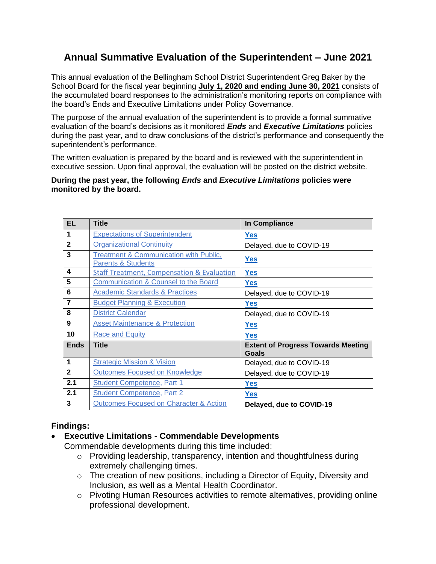# **Annual Summative Evaluation of the Superintendent – June 2021**

This annual evaluation of the Bellingham School District Superintendent Greg Baker by the School Board for the fiscal year beginning **July 1, 2020 and ending June 30, 2021** consists of the accumulated board responses to the administration's monitoring reports on compliance with the board's Ends and Executive Limitations under Policy Governance.

The purpose of the annual evaluation of the superintendent is to provide a formal summative evaluation of the board's decisions as it monitored *Ends* and *Executive Limitations* policies during the past year, and to draw conclusions of the district's performance and consequently the superintendent's performance.

The written evaluation is prepared by the board and is reviewed with the superintendent in executive session. Upon final approval, the evaluation will be posted on the district website.

#### **During the past year, the following** *Ends* **and** *Executive Limitations* **policies were monitored by the board.**

| <b>EL</b>      | <b>Title</b>                                                                       | In Compliance                                      |
|----------------|------------------------------------------------------------------------------------|----------------------------------------------------|
| $\mathbf 1$    | <b>Expectations of Superintendent</b>                                              | <b>Yes</b>                                         |
| $\overline{2}$ | <b>Organizational Continuity</b>                                                   | Delayed, due to COVID-19                           |
| 3              | <b>Treatment &amp; Communication with Public,</b><br><b>Parents &amp; Students</b> | <b>Yes</b>                                         |
| 4              | <b>Staff Treatment, Compensation &amp; Evaluation</b>                              | <b>Yes</b>                                         |
| 5              | <b>Communication &amp; Counsel to the Board</b>                                    | <b>Yes</b>                                         |
| 6              | <b>Academic Standards &amp; Practices</b>                                          | Delayed, due to COVID-19                           |
| $\overline{7}$ | <b>Budget Planning &amp; Execution</b>                                             | <b>Yes</b>                                         |
| 8              | <b>District Calendar</b>                                                           | Delayed, due to COVID-19                           |
| 9              | <b>Asset Maintenance &amp; Protection</b>                                          | <b>Yes</b>                                         |
| 10             | <b>Race and Equity</b>                                                             | <b>Yes</b>                                         |
| <b>Ends</b>    | <b>Title</b>                                                                       | <b>Extent of Progress Towards Meeting</b><br>Goals |
| $\mathbf{1}$   | <b>Strategic Mission &amp; Vision</b>                                              | Delayed, due to COVID-19                           |
| $\mathbf{2}$   | <b>Outcomes Focused on Knowledge</b>                                               | Delayed, due to COVID-19                           |
| 2.1            | <b>Student Competence, Part 1</b>                                                  | <b>Yes</b>                                         |
| 2.1            | <b>Student Competence, Part 2</b>                                                  | <b>Yes</b>                                         |
| 3              | <b>Outcomes Focused on Character &amp; Action</b>                                  | Delayed, due to COVID-19                           |

## **Findings:**

## • **Executive Limitations - Commendable Developments**

Commendable developments during this time included:

- o Providing leadership, transparency, intention and thoughtfulness during extremely challenging times.
- o The creation of new positions, including a Director of Equity, Diversity and Inclusion, as well as a Mental Health Coordinator.
- o Pivoting Human Resources activities to remote alternatives, providing online professional development.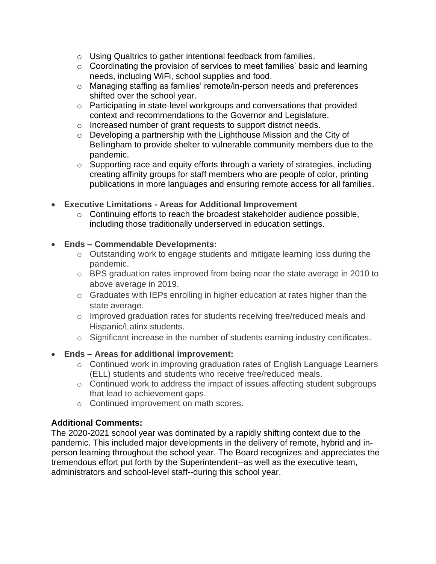- o Using Qualtrics to gather intentional feedback from families.
- $\circ$  Coordinating the provision of services to meet families' basic and learning needs, including WiFi, school supplies and food.
- o Managing staffing as families' remote/in-person needs and preferences shifted over the school year.
- o Participating in state-level workgroups and conversations that provided context and recommendations to the Governor and Legislature.
- o Increased number of grant requests to support district needs.
- o Developing a partnership with the Lighthouse Mission and the City of Bellingham to provide shelter to vulnerable community members due to the pandemic.
- o Supporting race and equity efforts through a variety of strategies, including creating affinity groups for staff members who are people of color, printing publications in more languages and ensuring remote access for all families.
- **Executive Limitations - Areas for Additional Improvement** 
	- o Continuing efforts to reach the broadest stakeholder audience possible, including those traditionally underserved in education settings.

## • **Ends – Commendable Developments:**

- o Outstanding work to engage students and mitigate learning loss during the pandemic.
- o BPS graduation rates improved from being near the state average in 2010 to above average in 2019.
- o Graduates with IEPs enrolling in higher education at rates higher than the state average.
- o Improved graduation rates for students receiving free/reduced meals and Hispanic/Latinx students.
- o Significant increase in the number of students earning industry certificates.

## • **Ends – Areas for additional improvement:**

- o Continued work in improving graduation rates of English Language Learners (ELL) students and students who receive free/reduced meals.
- o Continued work to address the impact of issues affecting student subgroups that lead to achievement gaps.
- o Continued improvement on math scores.

## **Additional Comments:**

The 2020-2021 school year was dominated by a rapidly shifting context due to the pandemic. This included major developments in the delivery of remote, hybrid and inperson learning throughout the school year. The Board recognizes and appreciates the tremendous effort put forth by the Superintendent--as well as the executive team, administrators and school-level staff--during this school year.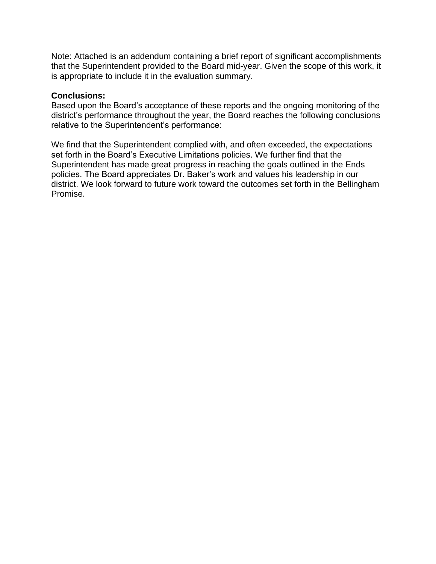Note: Attached is an addendum containing a brief report of significant accomplishments that the Superintendent provided to the Board mid-year. Given the scope of this work, it is appropriate to include it in the evaluation summary.

## **Conclusions:**

Based upon the Board's acceptance of these reports and the ongoing monitoring of the district's performance throughout the year, the Board reaches the following conclusions relative to the Superintendent's performance:

We find that the Superintendent complied with, and often exceeded, the expectations set forth in the Board's Executive Limitations policies. We further find that the Superintendent has made great progress in reaching the goals outlined in the Ends policies. The Board appreciates Dr. Baker's work and values his leadership in our district. We look forward to future work toward the outcomes set forth in the Bellingham Promise.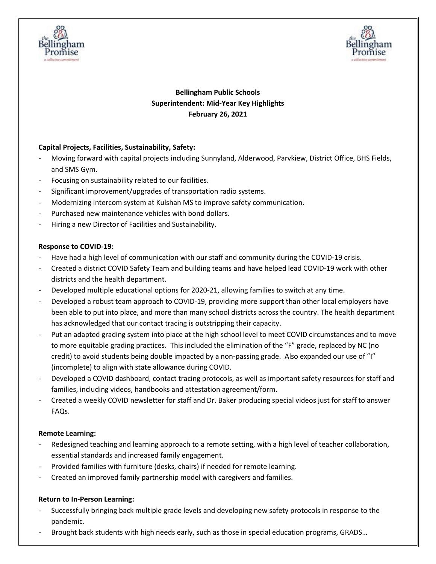



## **Bellingham Public Schools Superintendent: Mid-Year Key Highlights February 26, 2021**

## **Capital Projects, Facilities, Sustainability, Safety:**

- Moving forward with capital projects including Sunnyland, Alderwood, Parvkiew, District Office, BHS Fields, and SMS Gym.
- Focusing on sustainability related to our facilities.
- Significant improvement/upgrades of transportation radio systems.
- Modernizing intercom system at Kulshan MS to improve safety communication.
- Purchased new maintenance vehicles with bond dollars.
- Hiring a new Director of Facilities and Sustainability.

#### **Response to COVID-19:**

- Have had a high level of communication with our staff and community during the COVID-19 crisis.
- Created a district COVID Safety Team and building teams and have helped lead COVID-19 work with other districts and the health department.
- Developed multiple educational options for 2020-21, allowing families to switch at any time.
- Developed a robust team approach to COVID-19, providing more support than other local employers have been able to put into place, and more than many school districts across the country. The health department has acknowledged that our contact tracing is outstripping their capacity.
- Put an adapted grading system into place at the high school level to meet COVID circumstances and to move to more equitable grading practices. This included the elimination of the "F" grade, replaced by NC (no credit) to avoid students being double impacted by a non-passing grade. Also expanded our use of "I" (incomplete) to align with state allowance during COVID.
- Developed a COVID dashboard, contact tracing protocols, as well as important safety resources for staff and families, including videos, handbooks and attestation agreement/form.
- Created a weekly COVID newsletter for staff and Dr. Baker producing special videos just for staff to answer FAQs.

#### **Remote Learning:**

- Redesigned teaching and learning approach to a remote setting, with a high level of teacher collaboration, essential standards and increased family engagement.
- Provided families with furniture (desks, chairs) if needed for remote learning.
- Created an improved family partnership model with caregivers and families.

#### **Return to In-Person Learning:**

- Successfully bringing back multiple grade levels and developing new safety protocols in response to the pandemic.
- Brought back students with high needs early, such as those in special education programs, GRADS...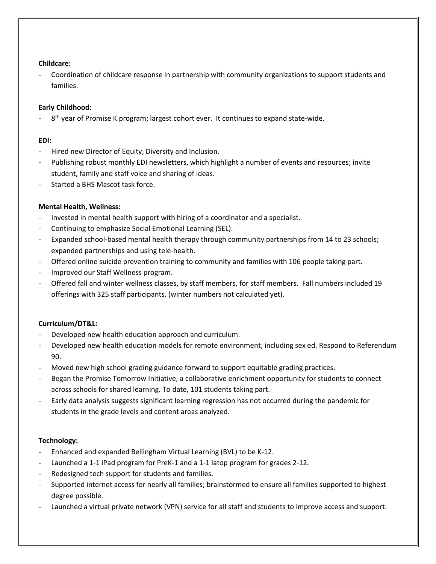#### **Childcare:**

- Coordination of childcare response in partnership with community organizations to support students and families.

## **Early Childhood:**

- 8<sup>th</sup> year of Promise K program; largest cohort ever. It continues to expand state-wide.

## **EDI:**

- Hired new Director of Equity, Diversity and Inclusion.
- Publishing robust monthly EDI newsletters, which highlight a number of events and resources; invite student, family and staff voice and sharing of ideas.
- Started a BHS Mascot task force.

## **Mental Health, Wellness:**

- Invested in mental health support with hiring of a coordinator and a specialist.
- Continuing to emphasize Social Emotional Learning (SEL).
- Expanded school-based mental health therapy through community partnerships from 14 to 23 schools; expanded partnerships and using tele-health.
- Offered online suicide prevention training to community and families with 106 people taking part.
- Improved our Staff Wellness program.
- Offered fall and winter wellness classes, by staff members, for staff members. Fall numbers included 19 offerings with 325 staff participants, (winter numbers not calculated yet).

## **Curriculum/DT&L:**

- Developed new health education approach and curriculum.
- Developed new health education models for remote environment, including sex ed. Respond to Referendum 90.
- Moved new high school grading guidance forward to support equitable grading practices.
- Began the Promise Tomorrow Initiative, a collaborative enrichment opportunity for students to connect across schools for shared learning. To date, 101 students taking part.
- Early data analysis suggests significant learning regression has not occurred during the pandemic for students in the grade levels and content areas analyzed.

## **Technology:**

- Enhanced and expanded Bellingham Virtual Learning (BVL) to be K-12.
- Launched a 1-1 iPad program for PreK-1 and a 1-1 latop program for grades 2-12.
- Redesigned tech support for students and families.
- Supported internet access for nearly all families; brainstormed to ensure all families supported to highest degree possible.
- Launched a virtual private network (VPN) service for all staff and students to improve access and support.